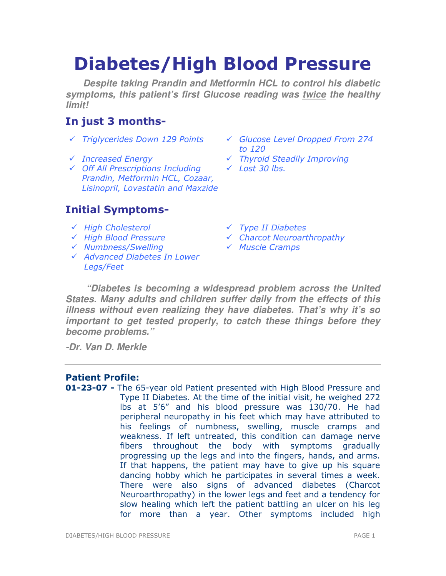# Diabetes/High Blood Pressure

**Despite taking Prandin and Metformin HCL to control his diabetic symptoms, this patient's first Glucose reading was twice the healthy limit!** 

# In just 3 months-

- 
- 
- Off All Prescriptions Including Prandin, Metformin HCL, Cozaar, Lisinopril, Lovastatin and Maxzide

# Initial Symptoms-

- $\checkmark$  High Cholesterol  $\checkmark$  Type II Diabetes
- 
- $\sqrt{N}$  Numbness/Swelling  $\sqrt{N}$  Muscle Cramps
- Advanced Diabetes In Lower Legs/Feet
- $\checkmark$  Triglycerides Down 129 Points  $\checkmark$  Glucose Level Dropped From 274 to 120
- Increased Energy Thyroid Steadily Improving
	- $\times$  Lost 30 lbs.
	-
- High Blood Pressure Charcot Neuroarthropathy
	-

**"Diabetes is becoming a widespread problem across the United States. Many adults and children suffer daily from the effects of this illness without even realizing they have diabetes. That's why it's so important to get tested properly, to catch these things before they become problems."** 

**-Dr. Van D. Merkle** 

# Patient Profile:

**01-23-07 -** The 65-year old Patient presented with High Blood Pressure and Type II Diabetes. At the time of the initial visit, he weighed 272 lbs at 5'6" and his blood pressure was 130/70. He had peripheral neuropathy in his feet which may have attributed to his feelings of numbness, swelling, muscle cramps and weakness. If left untreated, this condition can damage nerve fibers throughout the body with symptoms gradually progressing up the legs and into the fingers, hands, and arms. If that happens, the patient may have to give up his square dancing hobby which he participates in several times a week. There were also signs of advanced diabetes (Charcot Neuroarthropathy) in the lower legs and feet and a tendency for slow healing which left the patient battling an ulcer on his leg for more than a year. Other symptoms included high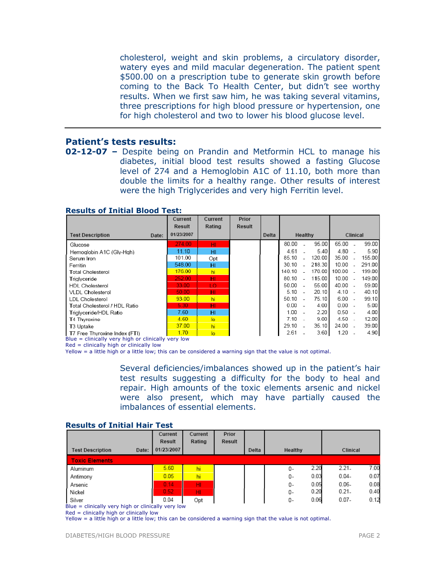cholesterol, weight and skin problems, a circulatory disorder, watery eyes and mild macular degeneration. The patient spent \$500.00 on a prescription tube to generate skin growth before coming to the Back To Health Center, but didn't see worthy results. When we first saw him, he was taking several vitamins, three prescriptions for high blood pressure or hypertension, one for high cholesterol and two to lower his blood glucose level.

## Patient's tests results:

**02-12-07 -** Despite being on Prandin and Metformin HCL to manage his diabetes, initial blood test results showed a fasting Glucose level of 274 and a Hemoglobin A1C of 11.10, both more than double the limits for a healthy range. Other results of interest were the high Triglycerides and very high Ferritin level.

|                                  | Current       | Current        | Prior  |       |          |     |        |           |  |        |
|----------------------------------|---------------|----------------|--------|-------|----------|-----|--------|-----------|--|--------|
|                                  | <b>Result</b> | Rating         | Result |       |          |     |        |           |  |        |
| <b>Test Description</b><br>Date: | 01/23/2007    |                |        | Delta | Healthy  |     |        | Clinical  |  |        |
| Glucose                          | 274.00        | нг             |        |       | 80.00    |     | 95.00  | $65.00$ - |  | 99.00  |
| Hemoglobin A1C (Gly-Hgh)         | 11.10         | HI             |        |       | 4.61     |     | 5.40   | 4.80      |  | 5.90   |
| Serum Iron                       | 101.00        | Opt            |        |       | 85.10    |     | 120.00 | 35.00     |  | 155.00 |
| Ferritin                         | 548.00        | HI             |        |       | 30.10    |     | 218.30 | 10.00     |  | 291.00 |
| Total Cholesterol                | 176.00        | hi             |        |       | 140.10   |     | 170.00 | 100.00    |  | 199.00 |
| Triglyceride                     | 252.00        | HI             |        |       | 80.10    |     | 115.00 | $10.00 -$ |  | 149.00 |
| <b>HDL Cholesterol</b>           | 33.00         | LO.            |        |       | 50.00    |     | 55.00  | 40.00 -   |  | 59.00  |
| <b>VLDL Cholesterol</b>          | 50.00         | HI             |        |       | $5.10 -$ |     | 20.10  | $4.10 -$  |  | 40.10  |
| LDL Cholesterol                  | 93.00         | hi             |        |       | 50.10    | - 4 | 75.10  | $6.00 -$  |  | 99.10  |
| Total Cholesterol / HDL Ratio    | 5.30          | HI             |        |       | $0.00 -$ |     | 4.00   | $0.00 -$  |  | 5.00   |
| Triglyceride/HDL Ratio           | 7.60          | HI             |        |       | 1.00     |     | 2.20   | $0.50 -$  |  | 4.00   |
| T4 Thyroxine                     | 4.60          | $\overline{a}$ |        |       | $7.10 -$ |     | 9.00   | $4.50 -$  |  | 12.00  |
| T3 Uptake                        | 37.00         | hi             |        |       | 29.10    |     | 35.10  | $24.00 -$ |  | 39.00  |
| T7 Free Thyroxine Index (FTI)    | 1.70          | $\overline{a}$ |        |       | 2.61     |     | 3.60   | $1.20 -$  |  | 4.90   |

#### Results of Initial Blood Test:

Blue = clinically very high or clinically very low

Red = clinically high or clinically low

Yellow = a little high or a little low; this can be considered a warning sign that the value is not optimal.

Several deficiencies/imbalances showed up in the patient's hair test results suggesting a difficulty for the body to heal and repair. High amounts of the toxic elements arsenic and nickel were also present, which may have partially caused the imbalances of essential elements.

#### Results of Initial Hair Test

|                                                      |       | Current<br>Result | Current<br>Rating | Prior<br>Result |       |         |      |          |      |
|------------------------------------------------------|-------|-------------------|-------------------|-----------------|-------|---------|------|----------|------|
| <b>Test Description</b>                              | Date: | 01/23/2007        |                   |                 | Delta | Healthy |      | Clinical |      |
| <b>Toxic Elements</b>                                |       |                   |                   |                 |       |         |      |          |      |
| Aluminum                                             |       | 5.60              | hi                |                 |       | 0-      | 2.20 | $2.21 -$ | 7.00 |
| Antimony                                             |       | 0.05              | hi                |                 |       | 0-      | 0.03 | $0.04 -$ | 0.07 |
| Arsenic                                              |       | 0.14              | HI                |                 |       | 0-      | 0.05 | $0.06 -$ | 0.08 |
| Nickel                                               |       | 0.52              | HI                |                 |       | 0-      | 0.20 | $0.21 -$ | 0.40 |
| Silver                                               |       | 0.04              | Opt               |                 |       | 0-      | 0.06 | $0.07 -$ | 0.12 |
| Blue $=$ clinically very high or clinically very low |       |                   |                   |                 |       |         |      |          |      |

Red = clinically high or clinically low

Yellow = a little high or a little low; this can be considered a warning sign that the value is not optimal.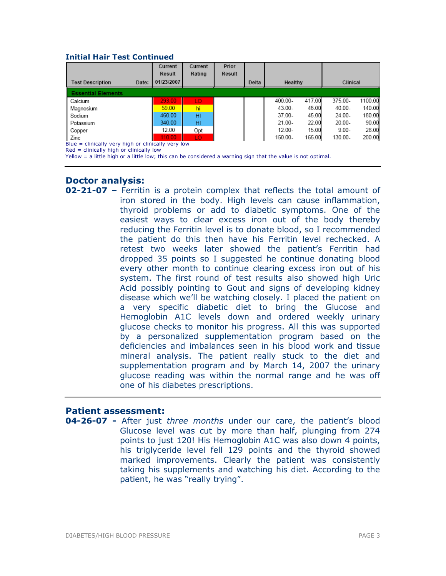#### Initial Hair Test Continued

|                                                    |       | Current<br>Result | Current<br>Rating | Prior<br>Result |       |           |        |          |         |  |
|----------------------------------------------------|-------|-------------------|-------------------|-----------------|-------|-----------|--------|----------|---------|--|
| <b>Test Description</b>                            | Date: | 01/23/2007        |                   |                 | Delta | Healthy   |        | Clinical |         |  |
| <b>Essential Elements</b>                          |       |                   |                   |                 |       |           |        |          |         |  |
| Calcium                                            |       | 293.00            | LO.               |                 |       | 400.00-   | 417.00 | 375.00-  | 1100.00 |  |
| Magnesium                                          |       | 59.00             | hi                |                 |       | 43.00-    | 48.00  | 40.00-   | 140.00  |  |
| Sodium                                             |       | 460.00            | HI                |                 |       | 37.00-    | 45.00  | 24.00-   | 180.00  |  |
| Potassium                                          |       | 340.00            | HI                |                 |       | 21.00-    | 22.00  | 20.00-   | 90.00   |  |
| Copper                                             |       | 12.00             | Opt               |                 |       | $12.00 -$ | 15.00  | $9.00 -$ | 26.00   |  |
| Zinc                                               |       | 110.00            | LO.               |                 |       | 150.00-   | 165.00 | 130.00-  | 200.00  |  |
| Blue = clinically very high or clinically very low |       |                   |                   |                 |       |           |        |          |         |  |

Red = clinically high or clinically low

Yellow = a little high or a little low; this can be considered a warning sign that the value is not optimal.

#### Doctor analysis:

**02-21-07** – Ferritin is a protein complex that reflects the total amount of iron stored in the body. High levels can cause inflammation, thyroid problems or add to diabetic symptoms. One of the easiest ways to clear excess iron out of the body thereby reducing the Ferritin level is to donate blood, so I recommended the patient do this then have his Ferritin level rechecked. A retest two weeks later showed the patient's Ferritin had dropped 35 points so I suggested he continue donating blood every other month to continue clearing excess iron out of his system. The first round of test results also showed high Uric Acid possibly pointing to Gout and signs of developing kidney disease which we'll be watching closely. I placed the patient on a very specific diabetic diet to bring the Glucose and Hemoglobin A1C levels down and ordered weekly urinary glucose checks to monitor his progress. All this was supported by a personalized supplementation program based on the deficiencies and imbalances seen in his blood work and tissue mineral analysis. The patient really stuck to the diet and supplementation program and by March 14, 2007 the urinary glucose reading was within the normal range and he was off one of his diabetes prescriptions.

## Patient assessment:

**04-26-07 -** After just three months under our care, the patient's blood Glucose level was cut by more than half, plunging from 274 points to just 120! His Hemoglobin A1C was also down 4 points, his triglyceride level fell 129 points and the thyroid showed marked improvements. Clearly the patient was consistently taking his supplements and watching his diet. According to the patient, he was "really trying".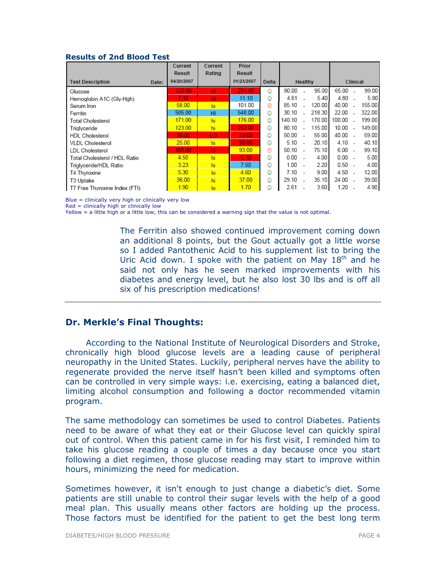#### Results of 2nd Blood Test

|                                  | Current    | Current        | Prior      |       |         |  |        |           |                |        |
|----------------------------------|------------|----------------|------------|-------|---------|--|--------|-----------|----------------|--------|
|                                  | Result     | Rating         | Result     |       |         |  |        |           |                |        |
| <b>Test Description</b><br>Date: | 04/20/2007 |                | 01/23/2007 | Delta | Healthy |  |        | Clinical  |                |        |
| Glucose                          | 120.00     | HI             | 274.00     | ٨     | 80.00   |  | 95.00  | 65.00     |                | 99.00  |
| Hemoglobin A1C (Gly-Hgh)         | 7.10       | HI.            | 11.10      | ٨     | 4.61    |  | 5.40   | 4.80      |                | 5.90   |
| Serum Iron                       | 58.00      | $\overline{a}$ | 101.00     | ⊛     | 85.10   |  | 120.00 | 40.00     |                | 155.00 |
| Ferritin                         | 505.00     | HI             | 548.00     | ☺     | 30.10   |  | 218.30 | 22.00     |                | 322.00 |
| Total Cholesterol                | 171.00     | hi             | 176.00     | ☺     | 140.10  |  | 170.00 | 100.00    |                | 199.00 |
| Trialyceride                     | 123.00     | hi             | 252.00     | ☺     | 80.10   |  | 115.00 | 10.00     | $\overline{a}$ | 149.00 |
| <b>HDL Cholesterol</b>           | 38.00      | LO.            | 33.00      | ☺     | 50.00   |  | 55.00  | $40.00 -$ |                | 59.00  |
| <b>VLDL Cholesterol</b>          | 25.00      | hi             | 50.00      | ٨     | 5.10    |  | 20.10  | $4.10 -$  |                | 40.10  |
| LDL Cholesterol                  | 108.00     | HI             | 93.00      | ⊛     | 50.10   |  | 75.10  | $6.00 -$  |                | 99.10  |
| Total Cholesterol / HDL Ratio    | 4.50       | hi             | 5.30       | ٨     | 0.00    |  | 4.00   | $0.00 -$  |                | 5.00   |
| Triglyceride/HDL Ratio           | 3.23       | hi             | 7.60       | ٨     | 1.00    |  | 2.20   | $0.50 -$  |                | 4.00   |
| T4 Thyroxine                     | 5.30       | $\overline{a}$ | 4.60       | ٨     | 7.10    |  | 9.00   | $4.50 -$  |                | 12.00  |
| T3 Uptake                        | 36.00      | hi             | 37.00      | ☺     | 29.10   |  | 35.10  | 24.00     |                | 39.00  |
| T7 Free Thyroxine Index (FTI)    | 1.90       | lo             | 1.70       | ☺     | 2.61    |  | 3.60   | 1.20      |                | 4.90   |

Blue = clinically very high or clinically very low

 $Red =$  clinically high or clinically low

Yellow = a little high or a little low; this can be considered a warning sign that the value is not optimal.

The Ferritin also showed continued improvement coming down an additional 8 points, but the Gout actually got a little worse so I added Pantothenic Acid to his supplement list to bring the Uric Acid down. I spoke with the patient on May  $18<sup>th</sup>$  and he said not only has he seen marked improvements with his diabetes and energy level, but he also lost 30 lbs and is off all six of his prescription medications!

## Dr. Merkle's Final Thoughts:

According to the National Institute of Neurological Disorders and Stroke, chronically high blood glucose levels are a leading cause of peripheral neuropathy in the United States. Luckily, peripheral nerves have the ability to regenerate provided the nerve itself hasn't been killed and symptoms often can be controlled in very simple ways: i.e. exercising, eating a balanced diet, limiting alcohol consumption and following a doctor recommended vitamin program.

The same methodology can sometimes be used to control Diabetes. Patients need to be aware of what they eat or their Glucose level can quickly spiral out of control. When this patient came in for his first visit, I reminded him to take his glucose reading a couple of times a day because once you start following a diet regimen, those glucose reading may start to improve within hours, minimizing the need for medication.

Sometimes however, it isn't enough to just change a diabetic's diet. Some patients are still unable to control their sugar levels with the help of a good meal plan. This usually means other factors are holding up the process. Those factors must be identified for the patient to get the best long term